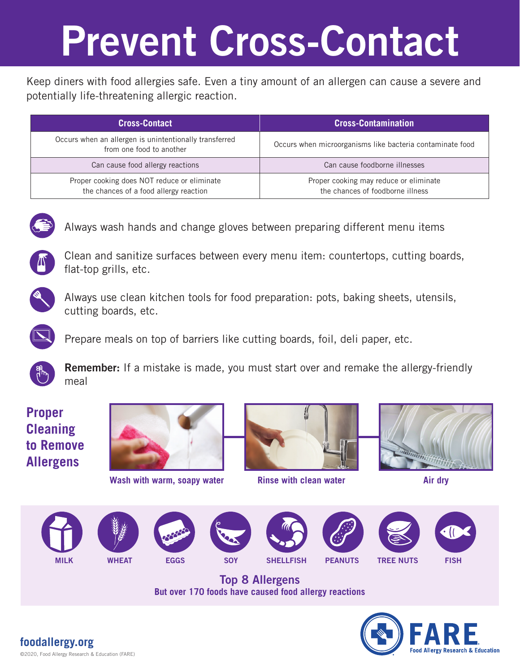## Prevent Cross-Contact

Keep diners with food allergies safe. Even a tiny amount of an allergen can cause a severe and potentially life-threatening allergic reaction.

| <b>Cross-Contact</b>                                                                  | <b>Cross-Contamination</b>                                                 |
|---------------------------------------------------------------------------------------|----------------------------------------------------------------------------|
| Occurs when an allergen is unintentionally transferred<br>from one food to another    | Occurs when microorganisms like bacteria contaminate food                  |
| Can cause food allergy reactions                                                      | Can cause foodborne illnesses                                              |
| Proper cooking does NOT reduce or eliminate<br>the chances of a food allergy reaction | Proper cooking may reduce or eliminate<br>the chances of foodborne illness |



Always wash hands and change gloves between preparing different menu items



Clean and sanitize surfaces between every menu item: countertops, cutting boards, flat-top grills, etc.



Always use clean kitchen tools for food preparation: pots, baking sheets, utensils, cutting boards, etc.



Prepare meals on top of barriers like cutting boards, foil, deli paper, etc.



Remember: If a mistake is made, you must start over and remake the allergy-friendly meal

### **Proper Cleaning to Remove Allergens**



**Wash with warm, soapy water Rinse with clean water Air dry Air dry** 























Top 8 Allergens **But over 170 foods have caused food allergy reactions**